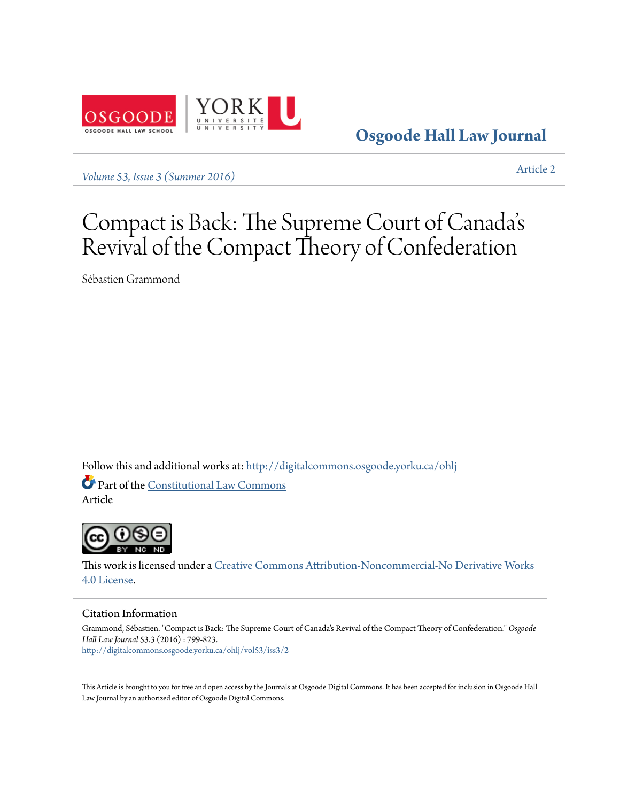

**[Osgoode Hall Law Journal](http://digitalcommons.osgoode.yorku.ca/ohlj?utm_source=digitalcommons.osgoode.yorku.ca%2Fohlj%2Fvol53%2Fiss3%2F2&utm_medium=PDF&utm_campaign=PDFCoverPages)**

*[Volume 53, Issue 3 \(Summer 2016\)](http://digitalcommons.osgoode.yorku.ca/ohlj/vol53/iss3?utm_source=digitalcommons.osgoode.yorku.ca%2Fohlj%2Fvol53%2Fiss3%2F2&utm_medium=PDF&utm_campaign=PDFCoverPages)* [Article 2](http://digitalcommons.osgoode.yorku.ca/ohlj/vol53/iss3/2?utm_source=digitalcommons.osgoode.yorku.ca%2Fohlj%2Fvol53%2Fiss3%2F2&utm_medium=PDF&utm_campaign=PDFCoverPages)

## Compact is Back: The Supreme Court of Canada s ' Revival of the Compact Theory of Confederation

Sébastien Grammond

Follow this and additional works at: [http://digitalcommons.osgoode.yorku.ca/ohlj](http://digitalcommons.osgoode.yorku.ca/ohlj?utm_source=digitalcommons.osgoode.yorku.ca%2Fohlj%2Fvol53%2Fiss3%2F2&utm_medium=PDF&utm_campaign=PDFCoverPages) Part of the [Constitutional Law Commons](http://network.bepress.com/hgg/discipline/589?utm_source=digitalcommons.osgoode.yorku.ca%2Fohlj%2Fvol53%2Fiss3%2F2&utm_medium=PDF&utm_campaign=PDFCoverPages) Article



This work is licensed under a [Creative Commons Attribution-Noncommercial-No Derivative Works](http://creativecommons.org/licenses/by-nc-nd/4.0/) [4.0 License.](http://creativecommons.org/licenses/by-nc-nd/4.0/)

## Citation Information

Grammond, Sébastien. "Compact is Back: The Supreme Court of Canada's Revival of the Compact Theory of Confederation." *Osgoode Hall Law Journal* 53.3 (2016) : 799-823. [http://digitalcommons.osgoode.yorku.ca/ohlj/vol53/iss3/2](http://digitalcommons.osgoode.yorku.ca/ohlj/vol53/iss3/2?utm_source=digitalcommons.osgoode.yorku.ca%2Fohlj%2Fvol53%2Fiss3%2F2&utm_medium=PDF&utm_campaign=PDFCoverPages)

This Article is brought to you for free and open access by the Journals at Osgoode Digital Commons. It has been accepted for inclusion in Osgoode Hall Law Journal by an authorized editor of Osgoode Digital Commons.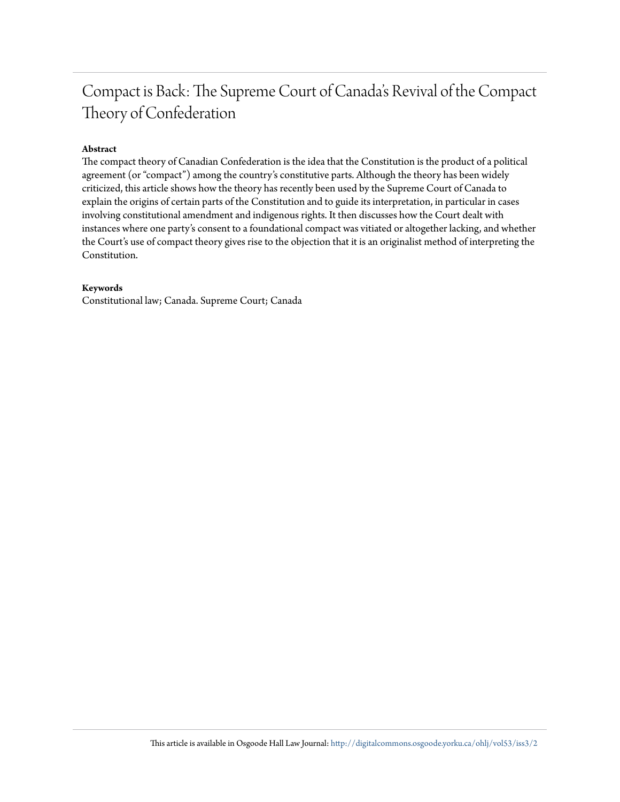# Compact is Back: The Supreme Court of Canada's Revival of the Compact Theory of Confederation

## **Abstract**

The compact theory of Canadian Confederation is the idea that the Constitution is the product of a political agreement (or "compact") among the country's constitutive parts. Although the theory has been widely criticized, this article shows how the theory has recently been used by the Supreme Court of Canada to explain the origins of certain parts of the Constitution and to guide its interpretation, in particular in cases involving constitutional amendment and indigenous rights. It then discusses how the Court dealt with instances where one party's consent to a foundational compact was vitiated or altogether lacking, and whether the Court's use of compact theory gives rise to the objection that it is an originalist method of interpreting the Constitution.

### **Keywords**

Constitutional law; Canada. Supreme Court; Canada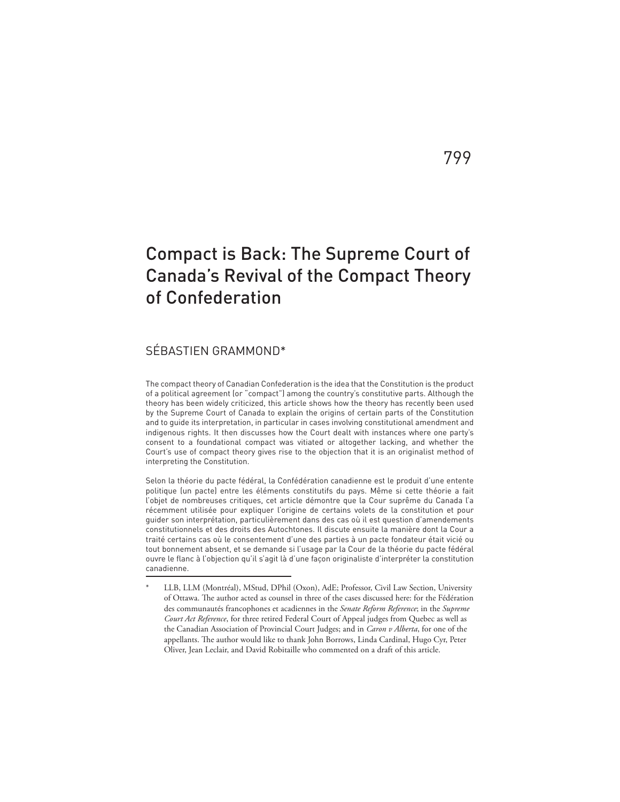## 799

# Compact is Back: The Supreme Court of Canada's Revival of the Compact Theory of Confederation

## SÉBASTIEN GRAMMOND\*

The compact theory of Canadian Confederation is the idea that the Constitution is the product of a political agreement (or "compact") among the country's constitutive parts. Although the theory has been widely criticized, this article shows how the theory has recently been used by the Supreme Court of Canada to explain the origins of certain parts of the Constitution and to guide its interpretation, in particular in cases involving constitutional amendment and indigenous rights. It then discusses how the Court dealt with instances where one party's consent to a foundational compact was vitiated or altogether lacking, and whether the Court's use of compact theory gives rise to the objection that it is an originalist method of interpreting the Constitution.

Selon la théorie du pacte fédéral, la Confédération canadienne est le produit d'une entente politique (un pacte) entre les éléments constitutifs du pays. Même si cette théorie a fait l'objet de nombreuses critiques, cet article démontre que la Cour suprême du Canada l'a récemment utilisée pour expliquer l'origine de certains volets de la constitution et pour guider son interprétation, particulièrement dans des cas où il est question d'amendements constitutionnels et des droits des Autochtones. Il discute ensuite la manière dont la Cour a traité certains cas où le consentement d'une des parties à un pacte fondateur était vicié ou tout bonnement absent, et se demande si l'usage par la Cour de la théorie du pacte fédéral ouvre le flanc à l'objection qu'il s'agit là d'une façon originaliste d'interpréter la constitution canadienne.

LLB, LLM (Montréal), MStud, DPhil (Oxon), AdE; Professor, Civil Law Section, University of Ottawa. The author acted as counsel in three of the cases discussed here: for the Fédération des communautés francophones et acadiennes in the *Senate Reform Reference*; in the *Supreme Court Act Reference*, for three retired Federal Court of Appeal judges from Quebec as well as the Canadian Association of Provincial Court Judges; and in *Caron v Alberta*, for one of the appellants. The author would like to thank John Borrows, Linda Cardinal, Hugo Cyr, Peter Oliver, Jean Leclair, and David Robitaille who commented on a draft of this article.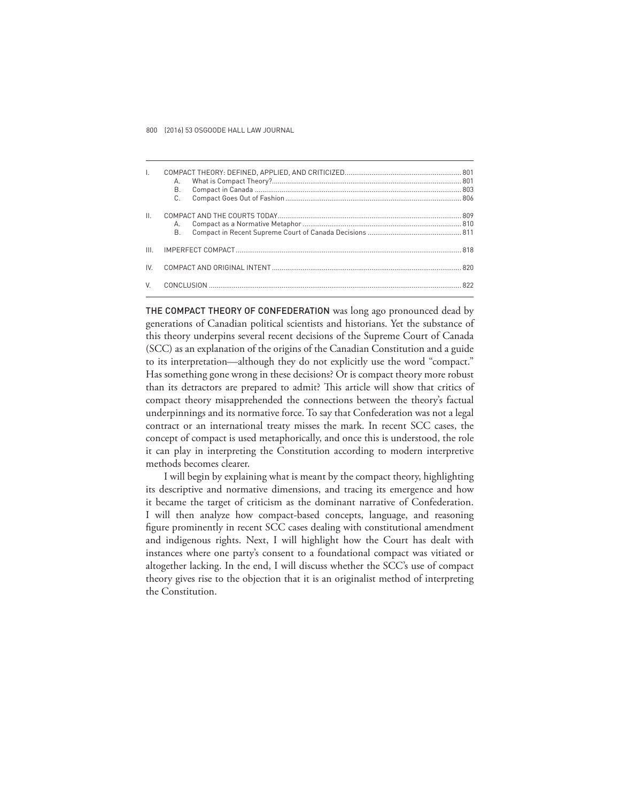| $\mathbf{L}$    | А.<br><b>B.</b><br>$C_{\cdot}$ |  |
|-----------------|--------------------------------|--|
| $\mathbf{II}$ . | А.<br><b>B.</b>                |  |
| Ш               |                                |  |
| IV              |                                |  |
| V               |                                |  |

THE COMPACT THEORY OF CONFEDERATION was long ago pronounced dead by generations of Canadian political scientists and historians. Yet the substance of this theory underpins several recent decisions of the Supreme Court of Canada (SCC) as an explanation of the origins of the Canadian Constitution and a guide to its interpretation—although they do not explicitly use the word "compact." Has something gone wrong in these decisions? Or is compact theory more robust than its detractors are prepared to admit? This article will show that critics of compact theory misapprehended the connections between the theory's factual underpinnings and its normative force. To say that Confederation was not a legal contract or an international treaty misses the mark. In recent SCC cases, the concept of compact is used metaphorically, and once this is understood, the role it can play in interpreting the Constitution according to modern interpretive methods becomes clearer.

I will begin by explaining what is meant by the compact theory, highlighting its descriptive and normative dimensions, and tracing its emergence and how it became the target of criticism as the dominant narrative of Confederation. I will then analyze how compact-based concepts, language, and reasoning figure prominently in recent SCC cases dealing with constitutional amendment and indigenous rights. Next, I will highlight how the Court has dealt with instances where one party's consent to a foundational compact was vitiated or altogether lacking. In the end, I will discuss whether the SCC's use of compact theory gives rise to the objection that it is an originalist method of interpreting the Constitution.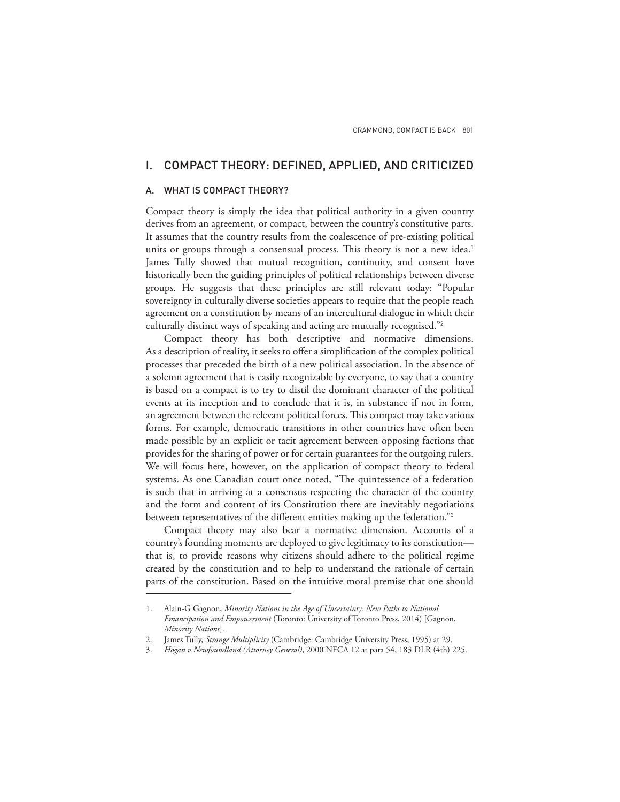## I. COMPACT THEORY: DEFINED, APPLIED, AND CRITICIZED

#### A. WHAT IS COMPACT THEORY?

Compact theory is simply the idea that political authority in a given country derives from an agreement, or compact, between the country's constitutive parts. It assumes that the country results from the coalescence of pre-existing political units or groups through a consensual process. This theory is not a new idea.<sup>1</sup> James Tully showed that mutual recognition, continuity, and consent have historically been the guiding principles of political relationships between diverse groups. He suggests that these principles are still relevant today: "Popular sovereignty in culturally diverse societies appears to require that the people reach agreement on a constitution by means of an intercultural dialogue in which their culturally distinct ways of speaking and acting are mutually recognised."<sup>2</sup>

Compact theory has both descriptive and normative dimensions. As a description of reality, it seeks to offer a simplification of the complex political processes that preceded the birth of a new political association. In the absence of a solemn agreement that is easily recognizable by everyone, to say that a country is based on a compact is to try to distil the dominant character of the political events at its inception and to conclude that it is, in substance if not in form, an agreement between the relevant political forces. This compact may take various forms. For example, democratic transitions in other countries have often been made possible by an explicit or tacit agreement between opposing factions that provides for the sharing of power or for certain guarantees for the outgoing rulers. We will focus here, however, on the application of compact theory to federal systems. As one Canadian court once noted, "The quintessence of a federation is such that in arriving at a consensus respecting the character of the country and the form and content of its Constitution there are inevitably negotiations between representatives of the different entities making up the federation."<sup>3</sup>

Compact theory may also bear a normative dimension. Accounts of a country's founding moments are deployed to give legitimacy to its constitution that is, to provide reasons why citizens should adhere to the political regime created by the constitution and to help to understand the rationale of certain parts of the constitution. Based on the intuitive moral premise that one should

<sup>1.</sup> Alain-G Gagnon, *Minority Nations in the Age of Uncertainty: New Paths to National Emancipation and Empowerment* (Toronto: University of Toronto Press, 2014) [Gagnon, *Minority Nations*].

<sup>2.</sup> James Tully, *Strange Multiplicity* (Cambridge: Cambridge University Press, 1995) at 29.

<sup>3.</sup> *Hogan v Newfoundland (Attorney General)*, 2000 NFCA 12 at para 54, 183 DLR (4th) 225.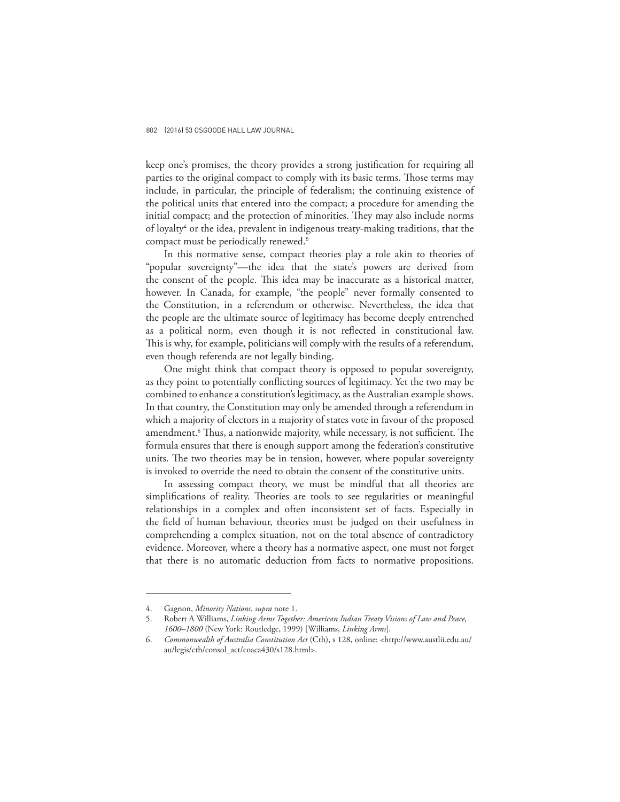keep one's promises, the theory provides a strong justification for requiring all parties to the original compact to comply with its basic terms. Those terms may include, in particular, the principle of federalism; the continuing existence of the political units that entered into the compact; a procedure for amending the initial compact; and the protection of minorities. They may also include norms of loyalty<sup>4</sup> or the idea, prevalent in indigenous treaty-making traditions, that the compact must be periodically renewed.<sup>5</sup>

In this normative sense, compact theories play a role akin to theories of "popular sovereignty"—the idea that the state's powers are derived from the consent of the people. This idea may be inaccurate as a historical matter, however. In Canada, for example, "the people" never formally consented to the Constitution, in a referendum or otherwise. Nevertheless, the idea that the people are the ultimate source of legitimacy has become deeply entrenched as a political norm, even though it is not reflected in constitutional law. This is why, for example, politicians will comply with the results of a referendum, even though referenda are not legally binding.

One might think that compact theory is opposed to popular sovereignty, as they point to potentially conflicting sources of legitimacy. Yet the two may be combined to enhance a constitution's legitimacy, as the Australian example shows. In that country, the Constitution may only be amended through a referendum in which a majority of electors in a majority of states vote in favour of the proposed amendment.<sup>6</sup> Thus, a nationwide majority, while necessary, is not sufficient. The formula ensures that there is enough support among the federation's constitutive units. The two theories may be in tension, however, where popular sovereignty is invoked to override the need to obtain the consent of the constitutive units.

In assessing compact theory, we must be mindful that all theories are simplifications of reality. Theories are tools to see regularities or meaningful relationships in a complex and often inconsistent set of facts. Especially in the field of human behaviour, theories must be judged on their usefulness in comprehending a complex situation, not on the total absence of contradictory evidence. Moreover, where a theory has a normative aspect, one must not forget that there is no automatic deduction from facts to normative propositions.

<sup>4.</sup> Gagnon, *Minority Nations*, *supra* note 1. 5. Robert A Williams, *Linking Arms Together: American Indian Treaty Visions of Law and Peace, 1600–1800* (New York: Routledge, 1999) [Williams, *Linking Arms*].

<sup>6.</sup> *Commonwealth of Australia Constitution Act* (Cth), s 128, online: <http://www.austlii.edu.au/ au/legis/cth/consol\_act/coaca430/s128.html>.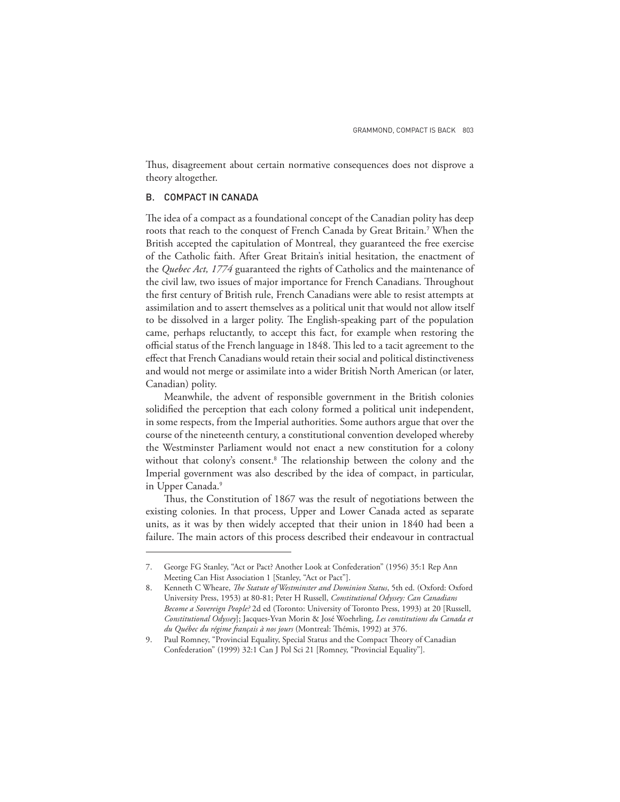Thus, disagreement about certain normative consequences does not disprove a theory altogether.

#### B. COMPACT IN CANADA

The idea of a compact as a foundational concept of the Canadian polity has deep roots that reach to the conquest of French Canada by Great Britain.<sup>7</sup> When the British accepted the capitulation of Montreal, they guaranteed the free exercise of the Catholic faith. After Great Britain's initial hesitation, the enactment of the *Quebec Act, 1774* guaranteed the rights of Catholics and the maintenance of the civil law, two issues of major importance for French Canadians. Throughout the first century of British rule, French Canadians were able to resist attempts at assimilation and to assert themselves as a political unit that would not allow itself to be dissolved in a larger polity. The English-speaking part of the population came, perhaps reluctantly, to accept this fact, for example when restoring the official status of the French language in 1848. This led to a tacit agreement to the effect that French Canadians would retain their social and political distinctiveness and would not merge or assimilate into a wider British North American (or later, Canadian) polity.

Meanwhile, the advent of responsible government in the British colonies solidified the perception that each colony formed a political unit independent, in some respects, from the Imperial authorities. Some authors argue that over the course of the nineteenth century, a constitutional convention developed whereby the Westminster Parliament would not enact a new constitution for a colony without that colony's consent.<sup>8</sup> The relationship between the colony and the Imperial government was also described by the idea of compact, in particular, in Upper Canada.<sup>9</sup>

Thus, the Constitution of 1867 was the result of negotiations between the existing colonies. In that process, Upper and Lower Canada acted as separate units, as it was by then widely accepted that their union in 1840 had been a failure. The main actors of this process described their endeavour in contractual

<sup>7.</sup> George FG Stanley, "Act or Pact? Another Look at Confederation" (1956) 35:1 Rep Ann Meeting Can Hist Association 1 [Stanley, "Act or Pact"].

<sup>8.</sup> Kenneth C Wheare, *The Statute of Westminster and Dominion Status*, 5th ed. (Oxford: Oxford University Press, 1953) at 80-81; Peter H Russell, *Constitutional Odyssey: Can Canadians Become a Sovereign People?* 2d ed (Toronto: University of Toronto Press, 1993) at 20 [Russell, *Constitutional Odyssey*]; Jacques-Yvan Morin & José Woehrling, *Les constitutions du Canada et du Québec du régime français à nos jours* (Montreal: Thémis, 1992) at 376.

<sup>9.</sup> Paul Romney, "Provincial Equality, Special Status and the Compact Theory of Canadian Confederation" (1999) 32:1 Can J Pol Sci 21 [Romney, "Provincial Equality"].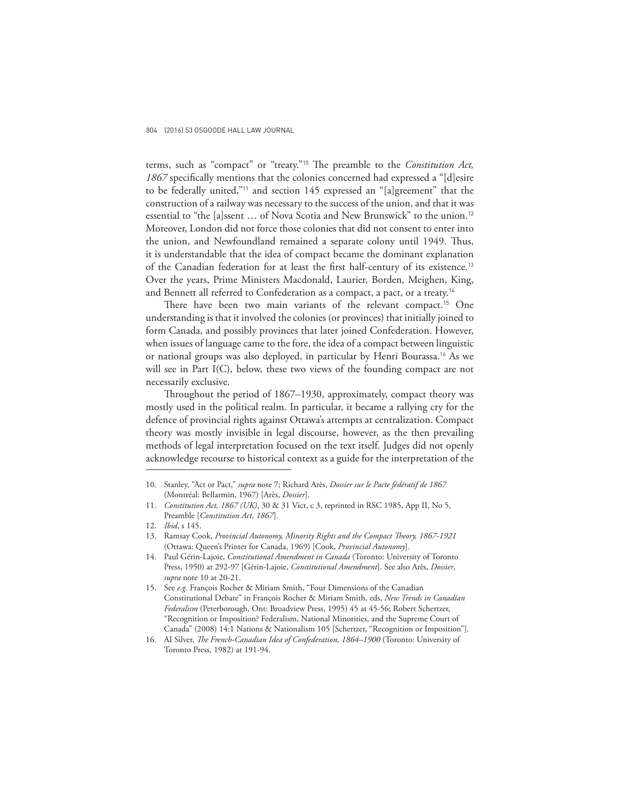terms, such as "compact" or "treaty."<sup>10</sup> The preamble to the *Constitution Act, 1867* specifically mentions that the colonies concerned had expressed a "[d]esire to be federally united,"<sup>11</sup> and section 145 expressed an "[a]greement" that the construction of a railway was necessary to the success of the union, and that it was essential to "the [a]ssent … of Nova Scotia and New Brunswick" to the union.<sup>12</sup> Moreover, London did not force those colonies that did not consent to enter into the union, and Newfoundland remained a separate colony until 1949. Thus, it is understandable that the idea of compact became the dominant explanation of the Canadian federation for at least the first half-century of its existence.<sup>13</sup> Over the years, Prime Ministers Macdonald, Laurier, Borden, Meighen, King, and Bennett all referred to Confederation as a compact, a pact, or a treaty.<sup>14</sup>

There have been two main variants of the relevant compact.<sup>15</sup> One understanding is that it involved the colonies (or provinces) that initially joined to form Canada, and possibly provinces that later joined Confederation. However, when issues of language came to the fore, the idea of a compact between linguistic or national groups was also deployed, in particular by Henri Bourassa.<sup>16</sup> As we will see in Part I(C), below, these two views of the founding compact are not necessarily exclusive.

Throughout the period of 1867–1930, approximately, compact theory was mostly used in the political realm. In particular, it became a rallying cry for the defence of provincial rights against Ottawa's attempts at centralization. Compact theory was mostly invisible in legal discourse, however, as the then prevailing methods of legal interpretation focused on the text itself. Judges did not openly acknowledge recourse to historical context as a guide for the interpretation of the

<sup>10.</sup> Stanley, "Act or Pact," *supra* note 7; Richard Arès, *Dossier sur le Pacte fédératif de 1867* (Montréal: Bellarmin, 1967) [Arès, *Dossier*].

<sup>11.</sup> *Constitution Act, 1867 (UK)*, 30 & 31 Vict, c 3, reprinted in RSC 1985, App II, No 5, Preamble [*Constitution Act, 1867*].

<sup>12.</sup> *Ibid*, s 145.

<sup>13.</sup> Ramsay Cook, *Provincial Autonomy, Minority Rights and the Compact Theory, 1867-1921* (Ottawa: Queen's Printer for Canada, 1969) [Cook, *Provincial Autonomy*].

<sup>14.</sup> Paul Gérin-Lajoie, *Constitutional Amendment in Canada* (Toronto: University of Toronto Press, 1950) at 292-97 [Gérin-Lajoie, *Constitutional Amendment*]. See also Arès, *Dossier*, *supra* note 10 at 20-21.

<sup>15.</sup> See *e.g.* François Rocher & Miriam Smith, "Four Dimensions of the Canadian Constitutional Debate" in François Rocher & Miriam Smith, eds, *New Trends in Canadian Federalism* (Peterborough, Ont: Broadview Press, 1995) 45 at 45-56; Robert Schertzer, "Recognition or Imposition? Federalism, National Minorities, and the Supreme Court of Canada" (2008) 14:1 Nations & Nationalism 105 [Schertzer, "Recognition or Imposition"].

<sup>16.</sup> AI Silver, *The French-Canadian Idea of Confederation, 1864–1900* (Toronto: University of Toronto Press, 1982) at 191-94.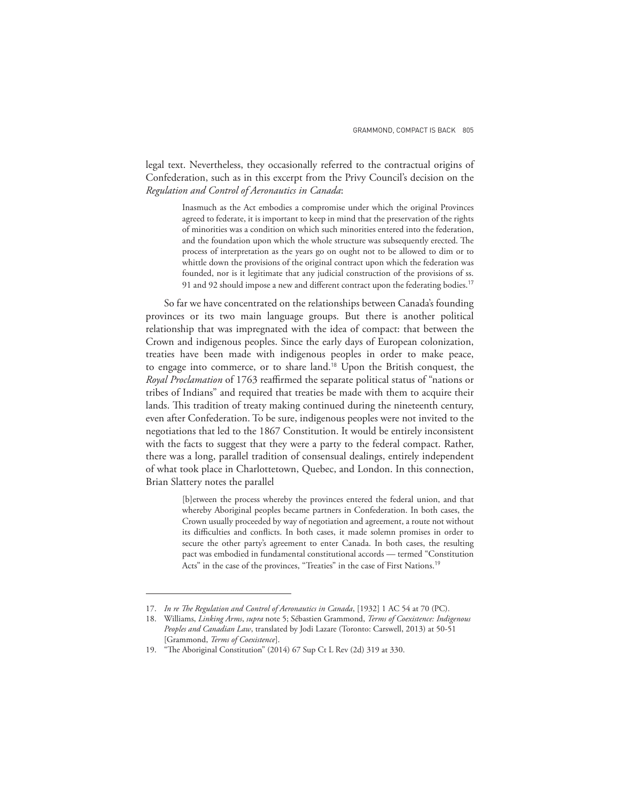legal text. Nevertheless, they occasionally referred to the contractual origins of Confederation, such as in this excerpt from the Privy Council's decision on the *Regulation and Control of Aeronautics in Canada*:

> Inasmuch as the Act embodies a compromise under which the original Provinces agreed to federate, it is important to keep in mind that the preservation of the rights of minorities was a condition on which such minorities entered into the federation, and the foundation upon which the whole structure was subsequently erected. The process of interpretation as the years go on ought not to be allowed to dim or to whittle down the provisions of the original contract upon which the federation was founded, nor is it legitimate that any judicial construction of the provisions of ss. 91 and 92 should impose a new and different contract upon the federating bodies.<sup>17</sup>

So far we have concentrated on the relationships between Canada's founding provinces or its two main language groups. But there is another political relationship that was impregnated with the idea of compact: that between the Crown and indigenous peoples. Since the early days of European colonization, treaties have been made with indigenous peoples in order to make peace, to engage into commerce, or to share land.<sup>18</sup> Upon the British conquest, the *Royal Proclamation* of 1763 reaffirmed the separate political status of "nations or tribes of Indians" and required that treaties be made with them to acquire their lands. This tradition of treaty making continued during the nineteenth century, even after Confederation. To be sure, indigenous peoples were not invited to the negotiations that led to the 1867 Constitution. It would be entirely inconsistent with the facts to suggest that they were a party to the federal compact. Rather, there was a long, parallel tradition of consensual dealings, entirely independent of what took place in Charlottetown, Quebec, and London. In this connection, Brian Slattery notes the parallel

> [b]etween the process whereby the provinces entered the federal union, and that whereby Aboriginal peoples became partners in Confederation. In both cases, the Crown usually proceeded by way of negotiation and agreement, a route not without its difficulties and conflicts. In both cases, it made solemn promises in order to secure the other party's agreement to enter Canada. In both cases, the resulting pact was embodied in fundamental constitutional accords — termed "Constitution Acts" in the case of the provinces, "Treaties" in the case of First Nations.<sup>19</sup>

<sup>17.</sup> *In re The Regulation and Control of Aeronautics in Canada*, [1932] 1 AC 54 at 70 (PC).

<sup>18.</sup> Williams, *Linking Arms*, *supra* note 5; Sébastien Grammond, *Terms of Coexistence: Indigenous Peoples and Canadian Law*, translated by Jodi Lazare (Toronto: Carswell, 2013) at 50-51 [Grammond, *Terms of Coexistence*].

<sup>19.</sup> "The Aboriginal Constitution" (2014) 67 Sup Ct L Rev (2d) 319 at 330.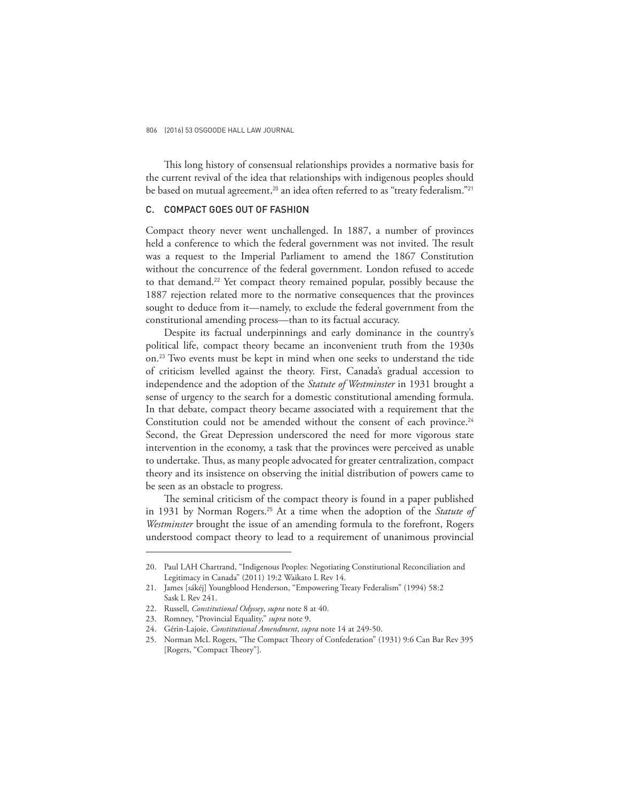This long history of consensual relationships provides a normative basis for the current revival of the idea that relationships with indigenous peoples should be based on mutual agreement,<sup>20</sup> an idea often referred to as "treaty federalism."<sup>21</sup>

#### C. COMPACT GOES OUT OF FASHION

Compact theory never went unchallenged. In 1887, a number of provinces held a conference to which the federal government was not invited. The result was a request to the Imperial Parliament to amend the 1867 Constitution without the concurrence of the federal government. London refused to accede to that demand.<sup>22</sup> Yet compact theory remained popular, possibly because the 1887 rejection related more to the normative consequences that the provinces sought to deduce from it—namely, to exclude the federal government from the constitutional amending process—than to its factual accuracy.

Despite its factual underpinnings and early dominance in the country's political life, compact theory became an inconvenient truth from the 1930s on.<sup>23</sup> Two events must be kept in mind when one seeks to understand the tide of criticism levelled against the theory. First, Canada's gradual accession to independence and the adoption of the *Statute of Westminster* in 1931 brought a sense of urgency to the search for a domestic constitutional amending formula. In that debate, compact theory became associated with a requirement that the Constitution could not be amended without the consent of each province.<sup>24</sup> Second, the Great Depression underscored the need for more vigorous state intervention in the economy, a task that the provinces were perceived as unable to undertake. Thus, as many people advocated for greater centralization, compact theory and its insistence on observing the initial distribution of powers came to be seen as an obstacle to progress.

The seminal criticism of the compact theory is found in a paper published in 1931 by Norman Rogers.<sup>25</sup> At a time when the adoption of the *Statute of Westminster* brought the issue of an amending formula to the forefront, Rogers understood compact theory to lead to a requirement of unanimous provincial

<sup>20.</sup> Paul LAH Chartrand, "Indigenous Peoples: Negotiating Constitutional Reconciliation and Legitimacy in Canada" (2011) 19:2 Waikato L Rev 14.

<sup>21.</sup> James [sákéj] Youngblood Henderson, "Empowering Treaty Federalism" (1994) 58:2 Sask L Rev 241.

<sup>22.</sup> Russell, *Constitutional Odyssey*, *supra* note 8 at 40.

<sup>23.</sup> Romney, "Provincial Equality," *supra* note 9.

<sup>24.</sup> Gérin-Lajoie, *Constitutional Amendment*, *supra* note 14 at 249-50.

<sup>25.</sup> Norman McL Rogers, "The Compact Theory of Confederation" (1931) 9:6 Can Bar Rev 395 [Rogers, "Compact Theory"].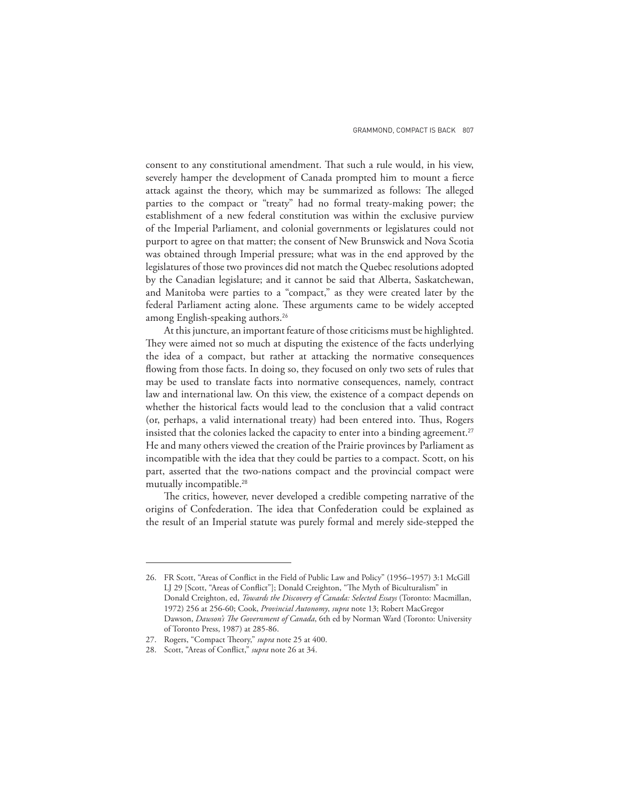consent to any constitutional amendment. That such a rule would, in his view, severely hamper the development of Canada prompted him to mount a fierce attack against the theory, which may be summarized as follows: The alleged parties to the compact or "treaty" had no formal treaty-making power; the establishment of a new federal constitution was within the exclusive purview of the Imperial Parliament, and colonial governments or legislatures could not purport to agree on that matter; the consent of New Brunswick and Nova Scotia was obtained through Imperial pressure; what was in the end approved by the legislatures of those two provinces did not match the Quebec resolutions adopted by the Canadian legislature; and it cannot be said that Alberta, Saskatchewan, and Manitoba were parties to a "compact," as they were created later by the federal Parliament acting alone. These arguments came to be widely accepted among English-speaking authors.<sup>26</sup>

At this juncture, an important feature of those criticisms must be highlighted. They were aimed not so much at disputing the existence of the facts underlying the idea of a compact, but rather at attacking the normative consequences flowing from those facts. In doing so, they focused on only two sets of rules that may be used to translate facts into normative consequences, namely, contract law and international law. On this view, the existence of a compact depends on whether the historical facts would lead to the conclusion that a valid contract (or, perhaps, a valid international treaty) had been entered into. Thus, Rogers insisted that the colonies lacked the capacity to enter into a binding agreement.<sup>27</sup> He and many others viewed the creation of the Prairie provinces by Parliament as incompatible with the idea that they could be parties to a compact. Scott, on his part, asserted that the two-nations compact and the provincial compact were mutually incompatible.<sup>28</sup>

The critics, however, never developed a credible competing narrative of the origins of Confederation. The idea that Confederation could be explained as the result of an Imperial statute was purely formal and merely side-stepped the

<sup>26.</sup> FR Scott, "Areas of Conflict in the Field of Public Law and Policy" (1956–1957) 3:1 McGill LJ 29 [Scott, "Areas of Conflict"]; Donald Creighton, "The Myth of Biculturalism" in Donald Creighton, ed, *Towards the Discovery of Canada: Selected Essays* (Toronto: Macmillan, 1972) 256 at 256-60; Cook, *Provincial Autonomy*, *supra* note 13; Robert MacGregor Dawson, *Dawson's The Government of Canada*, 6th ed by Norman Ward (Toronto: University of Toronto Press, 1987) at 285-86.

<sup>27.</sup> Rogers, "Compact Theory," *supra* note 25 at 400.

<sup>28.</sup> Scott, "Areas of Conflict," *supra* note 26 at 34.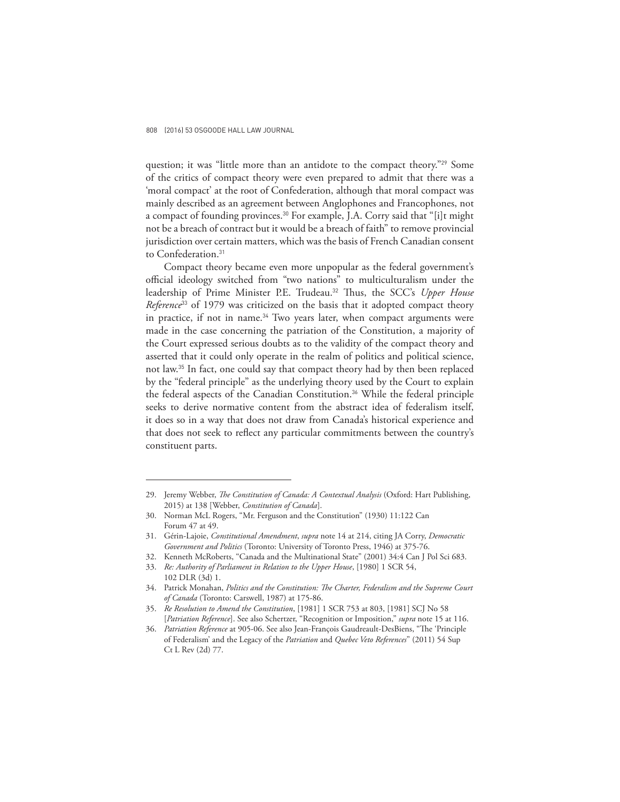question; it was "little more than an antidote to the compact theory."<sup>29</sup> Some of the critics of compact theory were even prepared to admit that there was a 'moral compact' at the root of Confederation, although that moral compact was mainly described as an agreement between Anglophones and Francophones, not a compact of founding provinces.<sup>30</sup> For example, J.A. Corry said that "[i]t might not be a breach of contract but it would be a breach of faith" to remove provincial jurisdiction over certain matters, which was the basis of French Canadian consent to Confederation.<sup>31</sup>

Compact theory became even more unpopular as the federal government's official ideology switched from "two nations" to multiculturalism under the leadership of Prime Minister P.E. Trudeau.<sup>32</sup> Thus, the SCC's *Upper House Reference*<sup>33</sup> of 1979 was criticized on the basis that it adopted compact theory in practice, if not in name.<sup>34</sup> Two years later, when compact arguments were made in the case concerning the patriation of the Constitution, a majority of the Court expressed serious doubts as to the validity of the compact theory and asserted that it could only operate in the realm of politics and political science, not law.<sup>35</sup> In fact, one could say that compact theory had by then been replaced by the "federal principle" as the underlying theory used by the Court to explain the federal aspects of the Canadian Constitution.<sup>36</sup> While the federal principle seeks to derive normative content from the abstract idea of federalism itself, it does so in a way that does not draw from Canada's historical experience and that does not seek to reflect any particular commitments between the country's constituent parts.

<sup>29.</sup> Jeremy Webber, *The Constitution of Canada: A Contextual Analysis* (Oxford: Hart Publishing, 2015) at 138 [Webber, *Constitution of Canada*].

<sup>30.</sup> Norman McL Rogers, "Mr. Ferguson and the Constitution" (1930) 11:122 Can Forum 47 at 49.

<sup>31.</sup> Gérin-Lajoie, *Constitutional Amendment*, *supra* note 14 at 214, citing JA Corry, *Democratic Government and Politics* (Toronto: University of Toronto Press, 1946) at 375-76.

<sup>32.</sup> Kenneth McRoberts, "Canada and the Multinational State" (2001) 34:4 Can J Pol Sci 683.

<sup>33.</sup> *Re: Authority of Parliament in Relation to the Upper House*, [1980] 1 SCR 54, 102 DLR (3d) 1.

<sup>34.</sup> Patrick Monahan, *Politics and the Constitution: The Charter, Federalism and the Supreme Court of Canada* (Toronto: Carswell, 1987) at 175-86.

<sup>35.</sup> *Re Resolution to Amend the Constitution*, [1981] 1 SCR 753 at 803, [1981] SCJ No 58 [*Patriation Reference*]. See also Schertzer, "Recognition or Imposition," *supra* note 15 at 116.

<sup>36.</sup> *Patriation Reference* at 905-06. See also Jean-François Gaudreault-DesBiens, "The 'Principle of Federalism' and the Legacy of the *Patriation* and *Quebec Veto References*" (2011) 54 Sup Ct L Rev (2d) 77.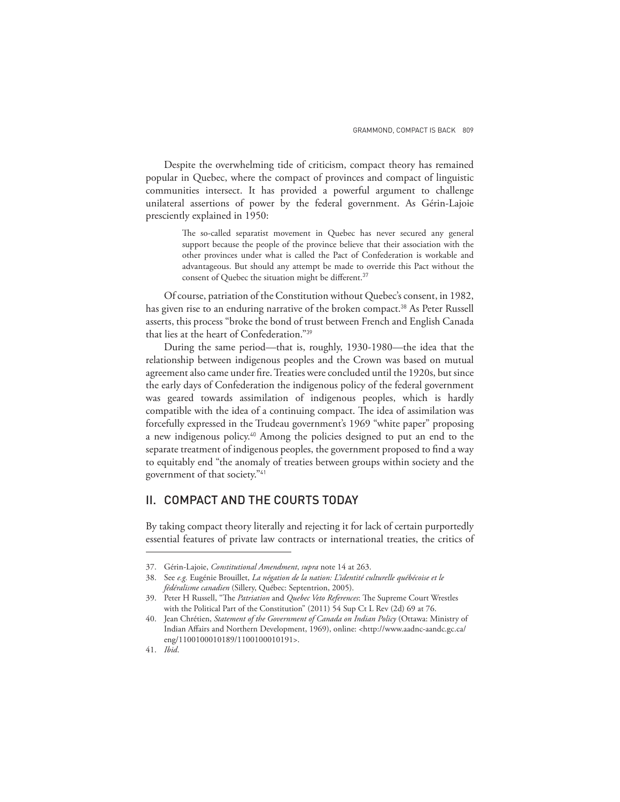Despite the overwhelming tide of criticism, compact theory has remained popular in Quebec, where the compact of provinces and compact of linguistic communities intersect. It has provided a powerful argument to challenge unilateral assertions of power by the federal government. As Gérin-Lajoie presciently explained in 1950:

> The so-called separatist movement in Quebec has never secured any general support because the people of the province believe that their association with the other provinces under what is called the Pact of Confederation is workable and advantageous. But should any attempt be made to override this Pact without the consent of Quebec the situation might be different.<sup>37</sup>

Of course, patriation of the Constitution without Quebec's consent, in 1982, has given rise to an enduring narrative of the broken compact.<sup>38</sup> As Peter Russell asserts, this process "broke the bond of trust between French and English Canada that lies at the heart of Confederation."<sup>39</sup>

During the same period—that is, roughly, 1930-1980—the idea that the relationship between indigenous peoples and the Crown was based on mutual agreement also came under fire. Treaties were concluded until the 1920s, but since the early days of Confederation the indigenous policy of the federal government was geared towards assimilation of indigenous peoples, which is hardly compatible with the idea of a continuing compact. The idea of assimilation was forcefully expressed in the Trudeau government's 1969 "white paper" proposing a new indigenous policy.<sup>40</sup> Among the policies designed to put an end to the separate treatment of indigenous peoples, the government proposed to find a way to equitably end "the anomaly of treaties between groups within society and the government of that society."<sup>41</sup>

## II. COMPACT AND THE COURTS TODAY

By taking compact theory literally and rejecting it for lack of certain purportedly essential features of private law contracts or international treaties, the critics of

<sup>37.</sup> Gérin-Lajoie, *Constitutional Amendment*, *supra* note 14 at 263.

<sup>38.</sup> See *e.g.* Eugénie Brouillet, *La négation de la nation: L'identité culturelle québécoise et le fédéralisme canadien* (Sillery, Québec: Septentrion, 2005).

<sup>39.</sup> Peter H Russell, "The *Patriation* and *Quebec Veto References*: The Supreme Court Wrestles with the Political Part of the Constitution" (2011) 54 Sup Ct L Rev (2d) 69 at 76.

<sup>40.</sup> Jean Chrétien, *Statement of the Government of Canada on Indian Policy* (Ottawa: Ministry of Indian Affairs and Northern Development, 1969), online: <http://www.aadnc-aandc.gc.ca/ eng/1100100010189/1100100010191>.

<sup>41.</sup> *Ibid*.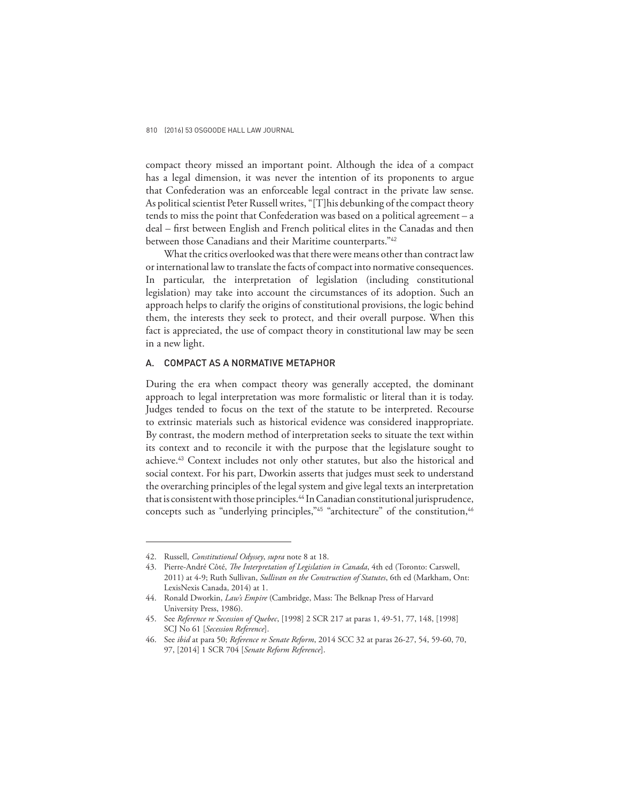compact theory missed an important point. Although the idea of a compact has a legal dimension, it was never the intention of its proponents to argue that Confederation was an enforceable legal contract in the private law sense. As political scientist Peter Russell writes, "[T]his debunking of the compact theory tends to miss the point that Confederation was based on a political agreement – a deal – first between English and French political elites in the Canadas and then between those Canadians and their Maritime counterparts."<sup>42</sup>

What the critics overlooked was that there were means other than contract law or international law to translate the facts of compact into normative consequences. In particular, the interpretation of legislation (including constitutional legislation) may take into account the circumstances of its adoption. Such an approach helps to clarify the origins of constitutional provisions, the logic behind them, the interests they seek to protect, and their overall purpose. When this fact is appreciated, the use of compact theory in constitutional law may be seen in a new light.

#### A. COMPACT AS A NORMATIVE METAPHOR

During the era when compact theory was generally accepted, the dominant approach to legal interpretation was more formalistic or literal than it is today. Judges tended to focus on the text of the statute to be interpreted. Recourse to extrinsic materials such as historical evidence was considered inappropriate. By contrast, the modern method of interpretation seeks to situate the text within its context and to reconcile it with the purpose that the legislature sought to achieve.<sup>43</sup> Context includes not only other statutes, but also the historical and social context. For his part, Dworkin asserts that judges must seek to understand the overarching principles of the legal system and give legal texts an interpretation that is consistent with those principles.<sup>44</sup> In Canadian constitutional jurisprudence, concepts such as "underlying principles,"<sup>45</sup> "architecture" of the constitution,<sup>46</sup>

<sup>42.</sup> Russell, *Constitutional Odyssey*, *supra* note 8 at 18.

<sup>43.</sup> Pierre-André Côté, *The Interpretation of Legislation in Canada*, 4th ed (Toronto: Carswell, 2011) at 4-9; Ruth Sullivan, *Sullivan on the Construction of Statutes*, 6th ed (Markham, Ont: LexisNexis Canada, 2014) at 1.

<sup>44.</sup> Ronald Dworkin, *Law's Empire* (Cambridge, Mass: The Belknap Press of Harvard University Press, 1986).

<sup>45.</sup> See *Reference re Secession of Quebec*, [1998] 2 SCR 217 at paras 1, 49-51, 77, 148, [1998] SCJ No 61 [*Secession Reference*].

<sup>46.</sup> See *ibid* at para 50; *Reference re Senate Reform*, 2014 SCC 32 at paras 26-27, 54, 59-60, 70, 97, [2014] 1 SCR 704 [*Senate Reform Reference*].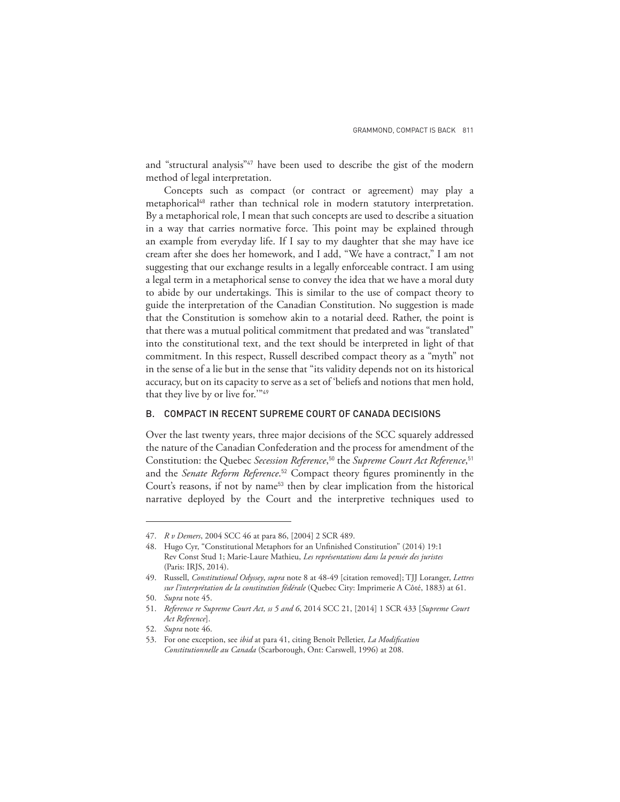and "structural analysis"<sup>47</sup> have been used to describe the gist of the modern method of legal interpretation.

Concepts such as compact (or contract or agreement) may play a metaphorical<sup>48</sup> rather than technical role in modern statutory interpretation. By a metaphorical role, I mean that such concepts are used to describe a situation in a way that carries normative force. This point may be explained through an example from everyday life. If I say to my daughter that she may have ice cream after she does her homework, and I add, "We have a contract," I am not suggesting that our exchange results in a legally enforceable contract. I am using a legal term in a metaphorical sense to convey the idea that we have a moral duty to abide by our undertakings. This is similar to the use of compact theory to guide the interpretation of the Canadian Constitution. No suggestion is made that the Constitution is somehow akin to a notarial deed. Rather, the point is that there was a mutual political commitment that predated and was "translated" into the constitutional text, and the text should be interpreted in light of that commitment. In this respect, Russell described compact theory as a "myth" not in the sense of a lie but in the sense that "its validity depends not on its historical accuracy, but on its capacity to serve as a set of 'beliefs and notions that men hold, that they live by or live for.'"<sup>49</sup>

#### B. COMPACT IN RECENT SUPREME COURT OF CANADA DECISIONS

Over the last twenty years, three major decisions of the SCC squarely addressed the nature of the Canadian Confederation and the process for amendment of the Constitution: the Quebec *Secession Reference*, <sup>50</sup> the *Supreme Court Act Reference*, 51 and the *Senate Reform Reference*. <sup>52</sup> Compact theory figures prominently in the Court's reasons, if not by name<sup>53</sup> then by clear implication from the historical narrative deployed by the Court and the interpretive techniques used to

<sup>47.</sup> *R v Demers*, 2004 SCC 46 at para 86, [2004] 2 SCR 489.

<sup>48.</sup> Hugo Cyr, "Constitutional Metaphors for an Unfinished Constitution" (2014) 19:1 Rev Const Stud 1; Marie-Laure Mathieu, *Les représentations dans la pensée des juristes* (Paris: IRJS, 2014).

<sup>49.</sup> Russell, *Constitutional Odyssey*, *supra* note 8 at 48-49 [citation removed]; TJJ Loranger, *Lettres sur l'interprétation de la constitution fédérale* (Quebec City: Imprimerie A Côté, 1883) at 61.

<sup>50.</sup> *Supra* note 45.

<sup>51.</sup> *Reference re Supreme Court Act, ss 5 and 6*, 2014 SCC 21, [2014] 1 SCR 433 [*Supreme Court Act Reference*].

<sup>52.</sup> *Supra* note 46.

<sup>53.</sup> For one exception, see *ibid* at para 41, citing Benoît Pelletier, *La Modification Constitutionnelle au Canada* (Scarborough, Ont: Carswell, 1996) at 208.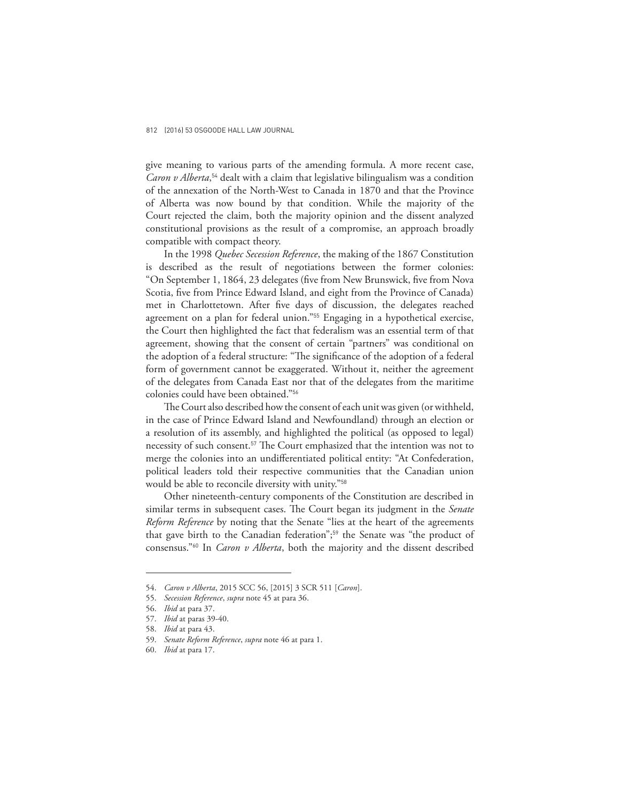give meaning to various parts of the amending formula. A more recent case, *Caron v Alberta*, <sup>54</sup> dealt with a claim that legislative bilingualism was a condition of the annexation of the North-West to Canada in 1870 and that the Province of Alberta was now bound by that condition. While the majority of the Court rejected the claim, both the majority opinion and the dissent analyzed constitutional provisions as the result of a compromise, an approach broadly compatible with compact theory.

In the 1998 *Quebec Secession Reference*, the making of the 1867 Constitution is described as the result of negotiations between the former colonies: "On September 1, 1864, 23 delegates (five from New Brunswick, five from Nova Scotia, five from Prince Edward Island, and eight from the Province of Canada) met in Charlottetown. After five days of discussion, the delegates reached agreement on a plan for federal union."<sup>55</sup> Engaging in a hypothetical exercise, the Court then highlighted the fact that federalism was an essential term of that agreement, showing that the consent of certain "partners" was conditional on the adoption of a federal structure: "The significance of the adoption of a federal form of government cannot be exaggerated. Without it, neither the agreement of the delegates from Canada East nor that of the delegates from the maritime colonies could have been obtained."<sup>56</sup>

The Court also described how the consent of each unit was given (or withheld, in the case of Prince Edward Island and Newfoundland) through an election or a resolution of its assembly, and highlighted the political (as opposed to legal) necessity of such consent.<sup>57</sup> The Court emphasized that the intention was not to merge the colonies into an undifferentiated political entity: "At Confederation, political leaders told their respective communities that the Canadian union would be able to reconcile diversity with unity."<sup>58</sup>

Other nineteenth-century components of the Constitution are described in similar terms in subsequent cases. The Court began its judgment in the *Senate Reform Reference* by noting that the Senate "lies at the heart of the agreements that gave birth to the Canadian federation";<sup>59</sup> the Senate was "the product of consensus."<sup>60</sup> In *Caron v Alberta*, both the majority and the dissent described

<sup>54.</sup> *Caron v Alberta*, 2015 SCC 56, [2015] 3 SCR 511 [*Caron*].

<sup>55.</sup> *Secession Reference*, *supra* note 45 at para 36.

<sup>56.</sup> *Ibid* at para 37.

<sup>57.</sup> *Ibid* at paras 39-40.

<sup>58.</sup> *Ibid* at para 43.

<sup>59.</sup> *Senate Reform Reference*, *supra* note 46 at para 1.

<sup>60.</sup> *Ibid* at para 17.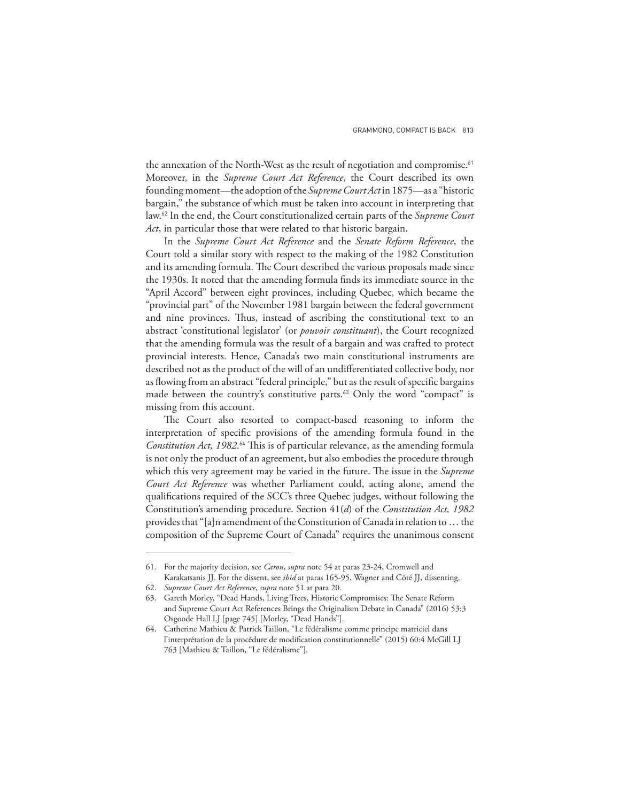the annexation of the North-West as the result of negotiation and compromise.<sup>61</sup> Moreover, in the *Supreme Court Act Reference*, the Court described its own founding moment—the adoption of the *Supreme Court Act* in 1875—as a "historic bargain," the substance of which must be taken into account in interpreting that law.<sup>62</sup> In the end, the Court constitutionalized certain parts of the *Supreme Court Act*, in particular those that were related to that historic bargain.

In the *Supreme Court Act Reference* and the *Senate Reform Reference*, the Court told a similar story with respect to the making of the 1982 Constitution and its amending formula. The Court described the various proposals made since the 1930s. It noted that the amending formula finds its immediate source in the "April Accord" between eight provinces, including Quebec, which became the "provincial part" of the November 1981 bargain between the federal government and nine provinces. Thus, instead of ascribing the constitutional text to an abstract 'constitutional legislator' (or *pouvoir constituant*), the Court recognized that the amending formula was the result of a bargain and was crafted to protect provincial interests. Hence, Canada's two main constitutional instruments are described not as the product of the will of an undifferentiated collective body, nor as flowing from an abstract "federal principle," but as the result of specific bargains made between the country's constitutive parts.<sup>63</sup> Only the word "compact" is missing from this account.

The Court also resorted to compact-based reasoning to inform the interpretation of specific provisions of the amending formula found in the Constitution Act, 1982.<sup>64</sup> This is of particular relevance, as the amending formula is not only the product of an agreement, but also embodies the procedure through which this very agreement may be varied in the future. The issue in the *Supreme Court Act Reference* was whether Parliament could, acting alone, amend the qualifications required of the SCC's three Quebec judges, without following the Constitution's amending procedure. Section 41(*d*) of the *Constitution Act, 1982* provides that "[a]n amendment of the Constitution of Canada in relation to … the composition of the Supreme Court of Canada" requires the unanimous consent

<sup>61.</sup> For the majority decision, see *Caron*, *supra* note 54 at paras 23-24, Cromwell and Karakatsanis JJ. For the dissent, see *ibid* at paras 165-95, Wagner and Côté JJ, dissenting.

<sup>62.</sup> *Supreme Court Act Reference*, *supra* note 51 at para 20.

<sup>63.</sup> Gareth Morley, "Dead Hands, Living Trees, Historic Compromises: The Senate Reform and Supreme Court Act References Brings the Originalism Debate in Canada" (2016) 53:3 Osgoode Hall LJ [page 745] [Morley, "Dead Hands"].

<sup>64.</sup> Catherine Mathieu & Patrick Taillon, "Le fédéralisme comme principe matriciel dans l'interprétation de la procédure de modification constitutionnelle" (2015) 60:4 McGill LJ 763 [Mathieu & Taillon, "Le fédéralisme"].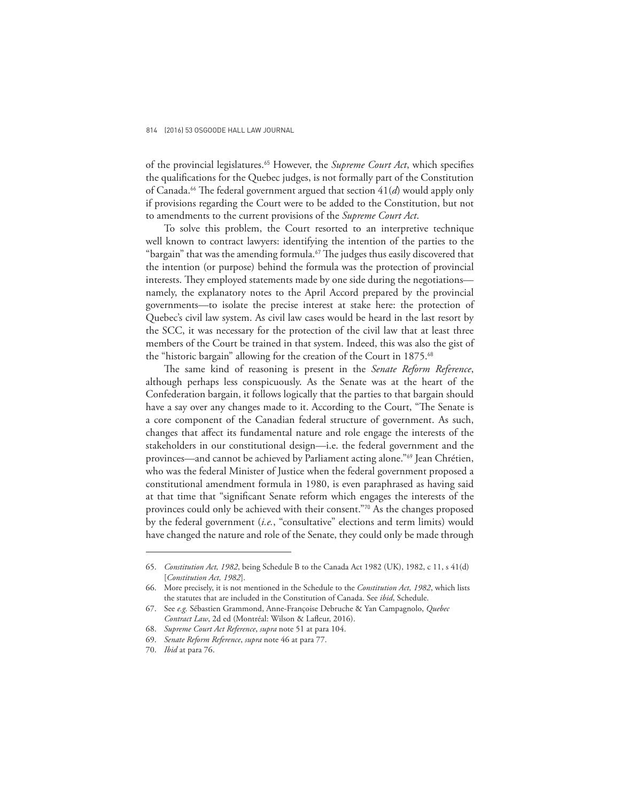of the provincial legislatures.<sup>65</sup> However, the *Supreme Court Act*, which specifies the qualifications for the Quebec judges, is not formally part of the Constitution of Canada.<sup>66</sup> The federal government argued that section 41(*d*) would apply only if provisions regarding the Court were to be added to the Constitution, but not to amendments to the current provisions of the *Supreme Court Act*.

To solve this problem, the Court resorted to an interpretive technique well known to contract lawyers: identifying the intention of the parties to the "bargain" that was the amending formula.<sup>67</sup> The judges thus easily discovered that the intention (or purpose) behind the formula was the protection of provincial interests. They employed statements made by one side during the negotiations namely, the explanatory notes to the April Accord prepared by the provincial governments—to isolate the precise interest at stake here: the protection of Quebec's civil law system. As civil law cases would be heard in the last resort by the SCC, it was necessary for the protection of the civil law that at least three members of the Court be trained in that system. Indeed, this was also the gist of the "historic bargain" allowing for the creation of the Court in 1875.<sup>68</sup>

The same kind of reasoning is present in the *Senate Reform Reference*, although perhaps less conspicuously. As the Senate was at the heart of the Confederation bargain, it follows logically that the parties to that bargain should have a say over any changes made to it. According to the Court, "The Senate is a core component of the Canadian federal structure of government. As such, changes that affect its fundamental nature and role engage the interests of the stakeholders in our constitutional design—i.e. the federal government and the provinces—and cannot be achieved by Parliament acting alone."<sup>69</sup> Jean Chrétien, who was the federal Minister of Justice when the federal government proposed a constitutional amendment formula in 1980, is even paraphrased as having said at that time that "significant Senate reform which engages the interests of the provinces could only be achieved with their consent."<sup>70</sup> As the changes proposed by the federal government (*i.e.*, "consultative" elections and term limits) would have changed the nature and role of the Senate, they could only be made through

<sup>65.</sup> *Constitution Act, 1982*, being Schedule B to the Canada Act 1982 (UK), 1982, c 11, s 41(d) [*Constitution Act, 1982*].

<sup>66.</sup> More precisely, it is not mentioned in the Schedule to the *Constitution Act, 1982*, which lists the statutes that are included in the Constitution of Canada. See *ibid*, Schedule.

<sup>67.</sup> See *e.g.* Sébastien Grammond, Anne-Françoise Debruche & Yan Campagnolo, *Quebec Contract Law*, 2d ed (Montréal: Wilson & Lafleur, 2016).

<sup>68.</sup> *Supreme Court Act Reference*, *supra* note 51 at para 104.

<sup>69.</sup> *Senate Reform Reference*, *supra* note 46 at para 77.

<sup>70.</sup> *Ibid* at para 76.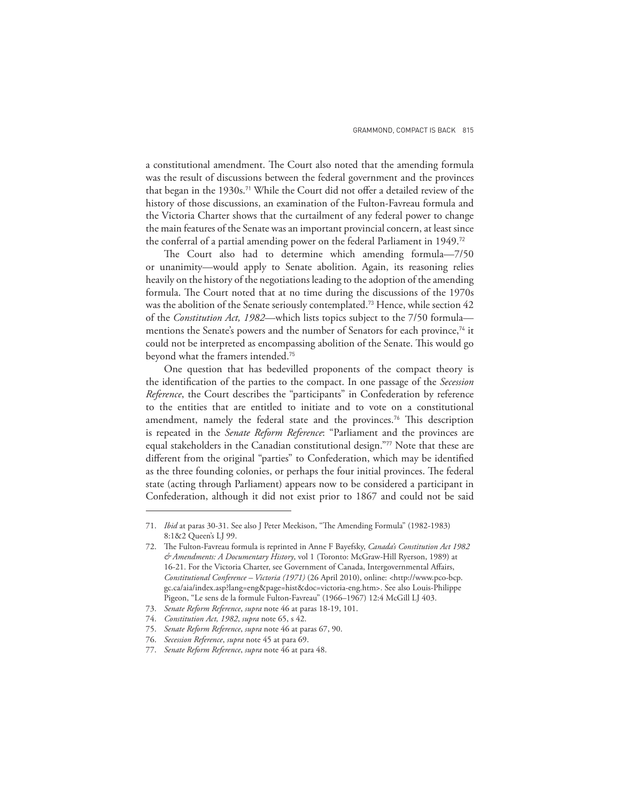a constitutional amendment. The Court also noted that the amending formula was the result of discussions between the federal government and the provinces that began in the 1930s.<sup>71</sup> While the Court did not offer a detailed review of the history of those discussions, an examination of the Fulton-Favreau formula and the Victoria Charter shows that the curtailment of any federal power to change the main features of the Senate was an important provincial concern, at least since the conferral of a partial amending power on the federal Parliament in 1949.<sup>72</sup>

The Court also had to determine which amending formula—7/50 or unanimity—would apply to Senate abolition. Again, its reasoning relies heavily on the history of the negotiations leading to the adoption of the amending formula. The Court noted that at no time during the discussions of the 1970s was the abolition of the Senate seriously contemplated.<sup>73</sup> Hence, while section 42 of the *Constitution Act, 1982*—which lists topics subject to the 7/50 formula mentions the Senate's powers and the number of Senators for each province,<sup>74</sup> it could not be interpreted as encompassing abolition of the Senate. This would go beyond what the framers intended.<sup>75</sup>

One question that has bedevilled proponents of the compact theory is the identification of the parties to the compact. In one passage of the *Secession Reference*, the Court describes the "participants" in Confederation by reference to the entities that are entitled to initiate and to vote on a constitutional amendment, namely the federal state and the provinces.<sup>76</sup> This description is repeated in the *Senate Reform Reference*: "Parliament and the provinces are equal stakeholders in the Canadian constitutional design."77 Note that these are different from the original "parties" to Confederation, which may be identified as the three founding colonies, or perhaps the four initial provinces. The federal state (acting through Parliament) appears now to be considered a participant in Confederation, although it did not exist prior to 1867 and could not be said

<sup>71.</sup> *Ibid* at paras 30-31. See also J Peter Meekison, "The Amending Formula" (1982-1983) 8:1&2 Queen's LJ 99.

<sup>72.</sup> The Fulton-Favreau formula is reprinted in Anne F Bayefsky, *Canada's Constitution Act 1982 & Amendments: A Documentary History*, vol 1 (Toronto: McGraw-Hill Ryerson, 1989) at 16-21. For the Victoria Charter, see Government of Canada, Intergovernmental Affairs, *Constitutional Conference – Victoria (1971)* (26 April 2010), online: <http://www.pco-bcp. gc.ca/aia/index.asp?lang=eng&page=hist&doc=victoria-eng.htm>. See also Louis-Philippe Pigeon, "Le sens de la formule Fulton-Favreau" (1966–1967) 12:4 McGill LJ 403.

<sup>73.</sup> *Senate Reform Reference*, *supra* note 46 at paras 18-19, 101.

<sup>74.</sup> *Constitution Act, 1982*, *supra* note 65, s 42.

<sup>75.</sup> *Senate Reform Reference*, *supra* note 46 at paras 67, 90.

<sup>76.</sup> *Secession Reference*, *supra* note 45 at para 69.

<sup>77.</sup> *Senate Reform Reference*, *supra* note 46 at para 48.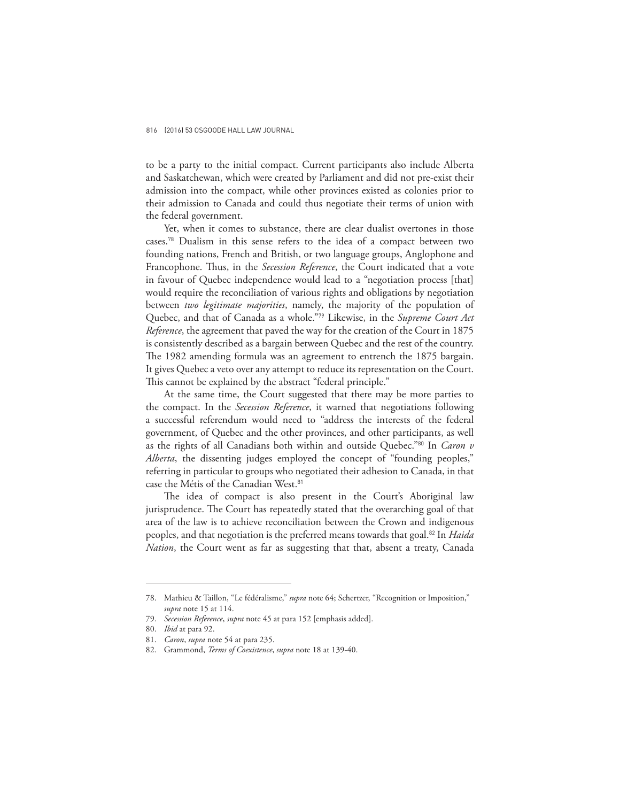to be a party to the initial compact. Current participants also include Alberta and Saskatchewan, which were created by Parliament and did not pre-exist their admission into the compact, while other provinces existed as colonies prior to their admission to Canada and could thus negotiate their terms of union with the federal government.

Yet, when it comes to substance, there are clear dualist overtones in those cases.<sup>78</sup> Dualism in this sense refers to the idea of a compact between two founding nations, French and British, or two language groups, Anglophone and Francophone. Thus, in the *Secession Reference*, the Court indicated that a vote in favour of Quebec independence would lead to a "negotiation process [that] would require the reconciliation of various rights and obligations by negotiation between *two legitimate majorities*, namely, the majority of the population of Quebec, and that of Canada as a whole."<sup>79</sup> Likewise, in the *Supreme Court Act Reference*, the agreement that paved the way for the creation of the Court in 1875 is consistently described as a bargain between Quebec and the rest of the country. The 1982 amending formula was an agreement to entrench the 1875 bargain. It gives Quebec a veto over any attempt to reduce its representation on the Court. This cannot be explained by the abstract "federal principle."

At the same time, the Court suggested that there may be more parties to the compact. In the *Secession Reference*, it warned that negotiations following a successful referendum would need to "address the interests of the federal government, of Quebec and the other provinces, and other participants, as well as the rights of all Canadians both within and outside Quebec."<sup>80</sup> In *Caron v Alberta*, the dissenting judges employed the concept of "founding peoples," referring in particular to groups who negotiated their adhesion to Canada, in that case the Métis of the Canadian West.<sup>81</sup>

The idea of compact is also present in the Court's Aboriginal law jurisprudence. The Court has repeatedly stated that the overarching goal of that area of the law is to achieve reconciliation between the Crown and indigenous peoples, and that negotiation is the preferred means towards that goal.<sup>82</sup> In *Haida Nation*, the Court went as far as suggesting that that, absent a treaty, Canada

<sup>78.</sup> Mathieu & Taillon, "Le fédéralisme," *supra* note 64; Schertzer, "Recognition or Imposition," *supra* note 15 at 114.

<sup>79.</sup> *Secession Reference*, *supra* note 45 at para 152 [emphasis added].

<sup>80.</sup> *Ibid* at para 92.

<sup>81.</sup> *Caron*, *supra* note 54 at para 235.

<sup>82.</sup> Grammond, *Terms of Coexistence*, *supra* note 18 at 139-40.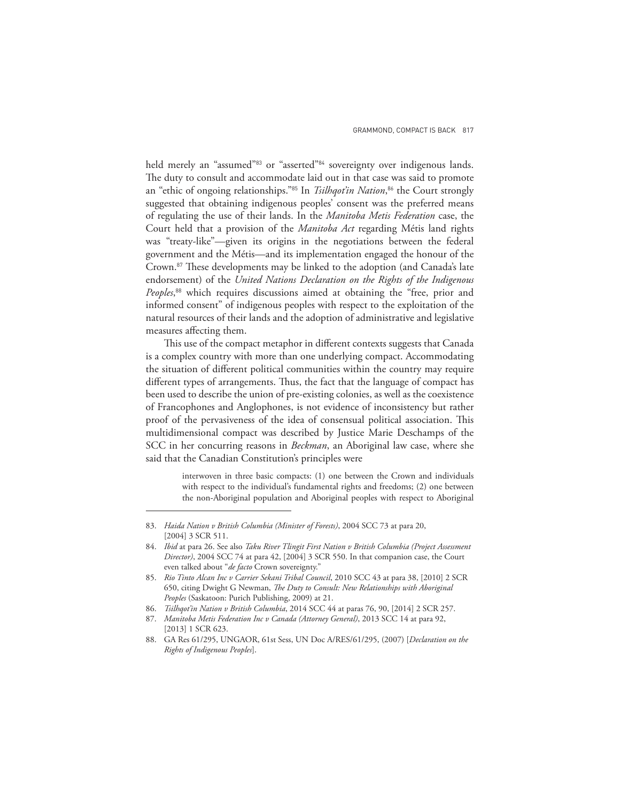held merely an "assumed"<sup>83</sup> or "asserted"<sup>84</sup> sovereignty over indigenous lands. The duty to consult and accommodate laid out in that case was said to promote an "ethic of ongoing relationships."<sup>85</sup> In *Tsilhqot'in Nation*, <sup>86</sup> the Court strongly suggested that obtaining indigenous peoples' consent was the preferred means of regulating the use of their lands. In the *Manitoba Metis Federation* case, the Court held that a provision of the *Manitoba Act* regarding Métis land rights was "treaty-like"—given its origins in the negotiations between the federal government and the Métis—and its implementation engaged the honour of the Crown.<sup>87</sup> These developments may be linked to the adoption (and Canada's late endorsement) of the *United Nations Declaration on the Rights of the Indigenous Peoples*, <sup>88</sup> which requires discussions aimed at obtaining the "free, prior and informed consent" of indigenous peoples with respect to the exploitation of the natural resources of their lands and the adoption of administrative and legislative measures affecting them.

This use of the compact metaphor in different contexts suggests that Canada is a complex country with more than one underlying compact. Accommodating the situation of different political communities within the country may require different types of arrangements. Thus, the fact that the language of compact has been used to describe the union of pre-existing colonies, as well as the coexistence of Francophones and Anglophones, is not evidence of inconsistency but rather proof of the pervasiveness of the idea of consensual political association. This multidimensional compact was described by Justice Marie Deschamps of the SCC in her concurring reasons in *Beckman*, an Aboriginal law case, where she said that the Canadian Constitution's principles were

> interwoven in three basic compacts: (1) one between the Crown and individuals with respect to the individual's fundamental rights and freedoms; (2) one between the non-Aboriginal population and Aboriginal peoples with respect to Aboriginal

<sup>83.</sup> *Haida Nation v British Columbia (Minister of Forests)*, 2004 SCC 73 at para 20, [2004] 3 SCR 511.

<sup>84.</sup> *Ibid* at para 26. See also *Taku River Tlingit First Nation v British Columbia (Project Assessment Director)*, 2004 SCC 74 at para 42, [2004] 3 SCR 550. In that companion case, the Court even talked about "*de facto* Crown sovereignty."

<sup>85.</sup> *Rio Tinto Alcan Inc v Carrier Sekani Tribal Council*, 2010 SCC 43 at para 38, [2010] 2 SCR 650, citing Dwight G Newman, *The Duty to Consult: New Relationships with Aboriginal Peoples* (Saskatoon: Purich Publishing, 2009) at 21.

<sup>86.</sup> *Tsilhqot'in Nation v British Columbia*, 2014 SCC 44 at paras 76, 90, [2014] 2 SCR 257.

<sup>87.</sup> *Manitoba Metis Federation Inc v Canada (Attorney General)*, 2013 SCC 14 at para 92, [2013] 1 SCR 623.

<sup>88.</sup> GA Res 61/295, UNGAOR, 61st Sess, UN Doc A/RES/61/295, (2007) [*Declaration on the Rights of Indigenous Peoples*].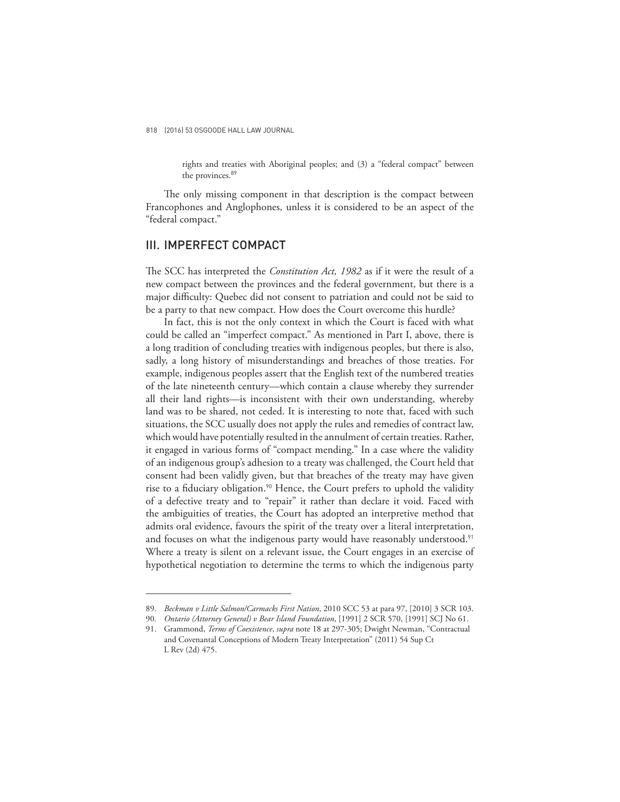rights and treaties with Aboriginal peoples; and (3) a "federal compact" between the provinces.<sup>89</sup>

The only missing component in that description is the compact between Francophones and Anglophones, unless it is considered to be an aspect of the "federal compact."

## III. IMPERFECT COMPACT

The SCC has interpreted the *Constitution Act, 1982* as if it were the result of a new compact between the provinces and the federal government, but there is a major difficulty: Quebec did not consent to patriation and could not be said to be a party to that new compact. How does the Court overcome this hurdle?

In fact, this is not the only context in which the Court is faced with what could be called an "imperfect compact." As mentioned in Part I, above, there is a long tradition of concluding treaties with indigenous peoples, but there is also, sadly, a long history of misunderstandings and breaches of those treaties. For example, indigenous peoples assert that the English text of the numbered treaties of the late nineteenth century—which contain a clause whereby they surrender all their land rights—is inconsistent with their own understanding, whereby land was to be shared, not ceded. It is interesting to note that, faced with such situations, the SCC usually does not apply the rules and remedies of contract law, which would have potentially resulted in the annulment of certain treaties. Rather, it engaged in various forms of "compact mending." In a case where the validity of an indigenous group's adhesion to a treaty was challenged, the Court held that consent had been validly given, but that breaches of the treaty may have given rise to a fiduciary obligation.<sup>90</sup> Hence, the Court prefers to uphold the validity of a defective treaty and to "repair" it rather than declare it void. Faced with the ambiguities of treaties, the Court has adopted an interpretive method that admits oral evidence, favours the spirit of the treaty over a literal interpretation, and focuses on what the indigenous party would have reasonably understood.<sup>91</sup> Where a treaty is silent on a relevant issue, the Court engages in an exercise of hypothetical negotiation to determine the terms to which the indigenous party

<sup>89.</sup> *Beckman v Little Salmon/Carmacks First Nation*, 2010 SCC 53 at para 97, [2010] 3 SCR 103.

<sup>90.</sup> *Ontario (Attorney General) v Bear Island Foundation*, [1991] 2 SCR 570, [1991] SCJ No 61.

<sup>91.</sup> Grammond, *Terms of Coexistence*, *supra* note 18 at 297-305; Dwight Newman, "Contractual and Covenantal Conceptions of Modern Treaty Interpretation" (2011) 54 Sup Ct L Rev (2d) 475.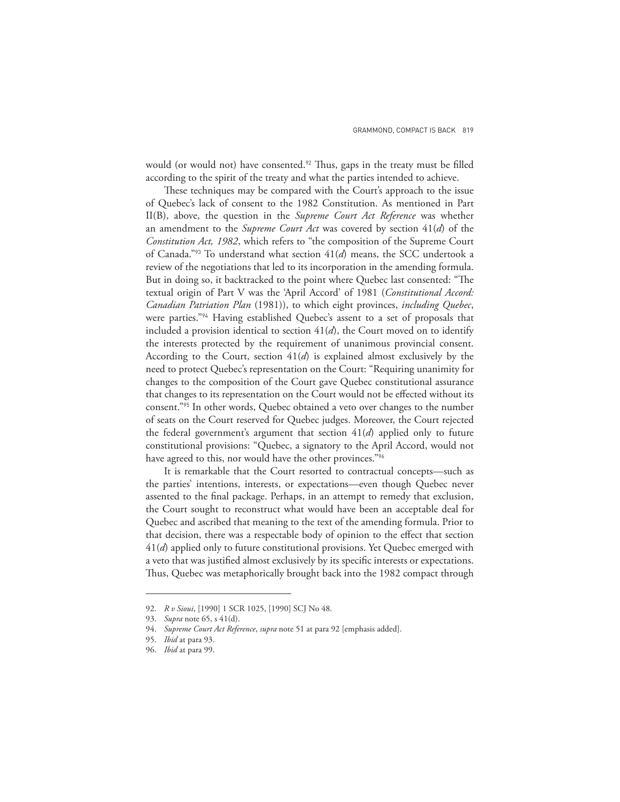would (or would not) have consented.<sup>92</sup> Thus, gaps in the treaty must be filled according to the spirit of the treaty and what the parties intended to achieve.

These techniques may be compared with the Court's approach to the issue of Quebec's lack of consent to the 1982 Constitution. As mentioned in Part II(B), above, the question in the *Supreme Court Act Reference* was whether an amendment to the *Supreme Court Act* was covered by section 41(*d*) of the *Constitution Act, 1982*, which refers to "the composition of the Supreme Court of Canada."<sup>93</sup> To understand what section 41(*d*) means, the SCC undertook a review of the negotiations that led to its incorporation in the amending formula. But in doing so, it backtracked to the point where Quebec last consented: "The textual origin of Part V was the 'April Accord' of 1981 (*Constitutional Accord: Canadian Patriation Plan* (1981)), to which eight provinces, *including Quebec*, were parties."<sup>94</sup> Having established Quebec's assent to a set of proposals that included a provision identical to section 41(*d*), the Court moved on to identify the interests protected by the requirement of unanimous provincial consent. According to the Court, section 41(*d*) is explained almost exclusively by the need to protect Quebec's representation on the Court: "Requiring unanimity for changes to the composition of the Court gave Quebec constitutional assurance that changes to its representation on the Court would not be effected without its consent."<sup>95</sup> In other words, Quebec obtained a veto over changes to the number of seats on the Court reserved for Quebec judges. Moreover, the Court rejected the federal government's argument that section 41(*d*) applied only to future constitutional provisions: "Quebec, a signatory to the April Accord, would not have agreed to this, nor would have the other provinces."<sup>96</sup>

It is remarkable that the Court resorted to contractual concepts—such as the parties' intentions, interests, or expectations—even though Quebec never assented to the final package. Perhaps, in an attempt to remedy that exclusion, the Court sought to reconstruct what would have been an acceptable deal for Quebec and ascribed that meaning to the text of the amending formula. Prior to that decision, there was a respectable body of opinion to the effect that section 41(*d*) applied only to future constitutional provisions. Yet Quebec emerged with a veto that was justified almost exclusively by its specific interests or expectations. Thus, Quebec was metaphorically brought back into the 1982 compact through

<sup>92.</sup> *R v Sioui*, [1990] 1 SCR 1025, [1990] SCJ No 48.

<sup>93.</sup> *Supra* note 65, s 41(d).

<sup>94.</sup> *Supreme Court Act Reference*, *supra* note 51 at para 92 [emphasis added].

<sup>95.</sup> *Ibid* at para 93.

<sup>96.</sup> *Ibid* at para 99.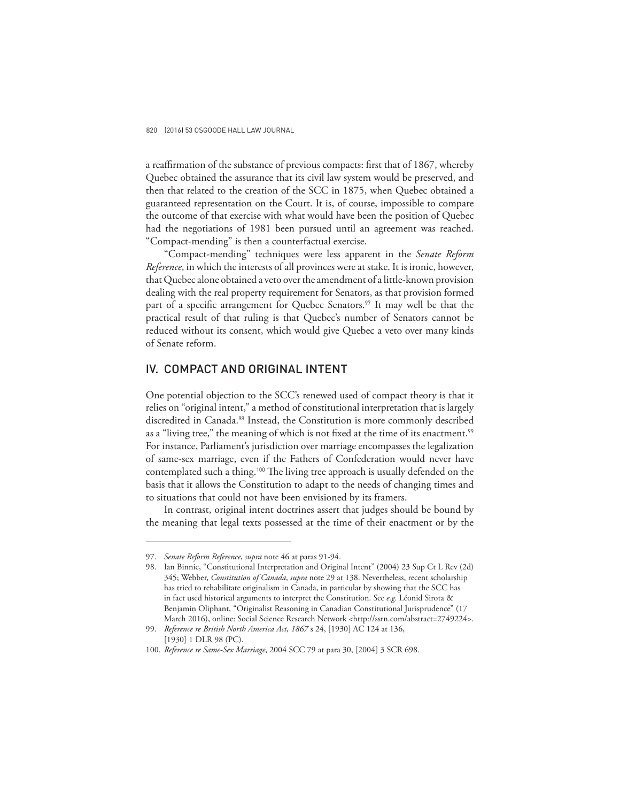a reaffirmation of the substance of previous compacts: first that of 1867, whereby Quebec obtained the assurance that its civil law system would be preserved, and then that related to the creation of the SCC in 1875, when Quebec obtained a guaranteed representation on the Court. It is, of course, impossible to compare the outcome of that exercise with what would have been the position of Quebec had the negotiations of 1981 been pursued until an agreement was reached. "Compact-mending" is then a counterfactual exercise.

"Compact-mending" techniques were less apparent in the *Senate Reform Reference*, in which the interests of all provinces were at stake. It is ironic, however, that Quebec alone obtained a veto over the amendment of a little-known provision dealing with the real property requirement for Senators, as that provision formed part of a specific arrangement for Quebec Senators.<sup>97</sup> It may well be that the practical result of that ruling is that Quebec's number of Senators cannot be reduced without its consent, which would give Quebec a veto over many kinds of Senate reform.

## IV. COMPACT AND ORIGINAL INTENT

One potential objection to the SCC's renewed used of compact theory is that it relies on "original intent," a method of constitutional interpretation that is largely discredited in Canada.<sup>98</sup> Instead, the Constitution is more commonly described as a "living tree," the meaning of which is not fixed at the time of its enactment.<sup>99</sup> For instance, Parliament's jurisdiction over marriage encompasses the legalization of same-sex marriage, even if the Fathers of Confederation would never have contemplated such a thing.<sup>100</sup> The living tree approach is usually defended on the basis that it allows the Constitution to adapt to the needs of changing times and to situations that could not have been envisioned by its framers.

In contrast, original intent doctrines assert that judges should be bound by the meaning that legal texts possessed at the time of their enactment or by the

<sup>97.</sup> *Senate Reform Reference*, *supra* note 46 at paras 91-94.

<sup>98.</sup> Ian Binnie, "Constitutional Interpretation and Original Intent" (2004) 23 Sup Ct L Rev (2d) 345; Webber, *Constitution of Canada*, *supra* note 29 at 138. Nevertheless, recent scholarship has tried to rehabilitate originalism in Canada, in particular by showing that the SCC has in fact used historical arguments to interpret the Constitution. See *e.g.* Léonid Sirota & Benjamin Oliphant, "Originalist Reasoning in Canadian Constitutional Jurisprudence" (17 March 2016), online: Social Science Research Network <http://ssrn.com/abstract=2749224>.

<sup>99.</sup> *Reference re British North America Act, 1867* s 24, [1930] AC 124 at 136, [1930] 1 DLR 98 (PC).

<sup>100.</sup> *Reference re Same-Sex Marriage*, 2004 SCC 79 at para 30, [2004] 3 SCR 698.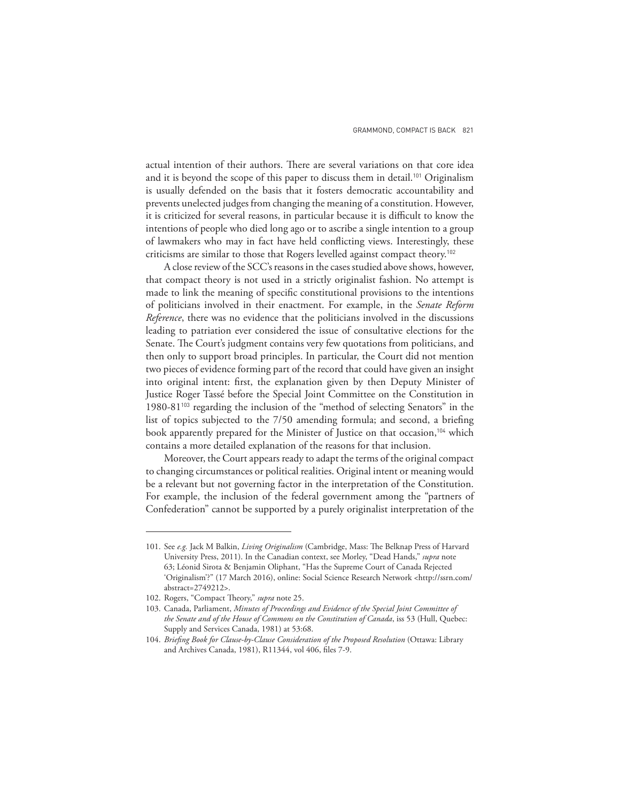actual intention of their authors. There are several variations on that core idea and it is beyond the scope of this paper to discuss them in detail.<sup>101</sup> Originalism is usually defended on the basis that it fosters democratic accountability and prevents unelected judges from changing the meaning of a constitution. However, it is criticized for several reasons, in particular because it is difficult to know the intentions of people who died long ago or to ascribe a single intention to a group of lawmakers who may in fact have held conflicting views. Interestingly, these criticisms are similar to those that Rogers levelled against compact theory.<sup>102</sup>

A close review of the SCC's reasons in the cases studied above shows, however, that compact theory is not used in a strictly originalist fashion. No attempt is made to link the meaning of specific constitutional provisions to the intentions of politicians involved in their enactment. For example, in the *Senate Reform Reference*, there was no evidence that the politicians involved in the discussions leading to patriation ever considered the issue of consultative elections for the Senate. The Court's judgment contains very few quotations from politicians, and then only to support broad principles. In particular, the Court did not mention two pieces of evidence forming part of the record that could have given an insight into original intent: first, the explanation given by then Deputy Minister of Justice Roger Tassé before the Special Joint Committee on the Constitution in 1980-81<sup>103</sup> regarding the inclusion of the "method of selecting Senators" in the list of topics subjected to the 7/50 amending formula; and second, a briefing book apparently prepared for the Minister of Justice on that occasion,<sup>104</sup> which contains a more detailed explanation of the reasons for that inclusion.

Moreover, the Court appears ready to adapt the terms of the original compact to changing circumstances or political realities. Original intent or meaning would be a relevant but not governing factor in the interpretation of the Constitution. For example, the inclusion of the federal government among the "partners of Confederation" cannot be supported by a purely originalist interpretation of the

<sup>101.</sup> See *e.g.* Jack M Balkin, *Living Originalism* (Cambridge, Mass: The Belknap Press of Harvard University Press, 2011). In the Canadian context, see Morley, "Dead Hands," *supra* note 63; Léonid Sirota & Benjamin Oliphant, "Has the Supreme Court of Canada Rejected 'Originalism'?" (17 March 2016), online: Social Science Research Network <http://ssrn.com/ abstract=2749212>.

<sup>102.</sup> Rogers, "Compact Theory," *supra* note 25.

<sup>103.</sup> Canada, Parliament, *Minutes of Proceedings and Evidence of the Special Joint Committee of the Senate and of the House of Commons on the Constitution of Canada*, iss 53 (Hull, Quebec: Supply and Services Canada, 1981) at 53:68.

<sup>104.</sup> *Briefing Book for Clause-by-Clause Consideration of the Proposed Resolution* (Ottawa: Library and Archives Canada, 1981), R11344, vol 406, files 7-9.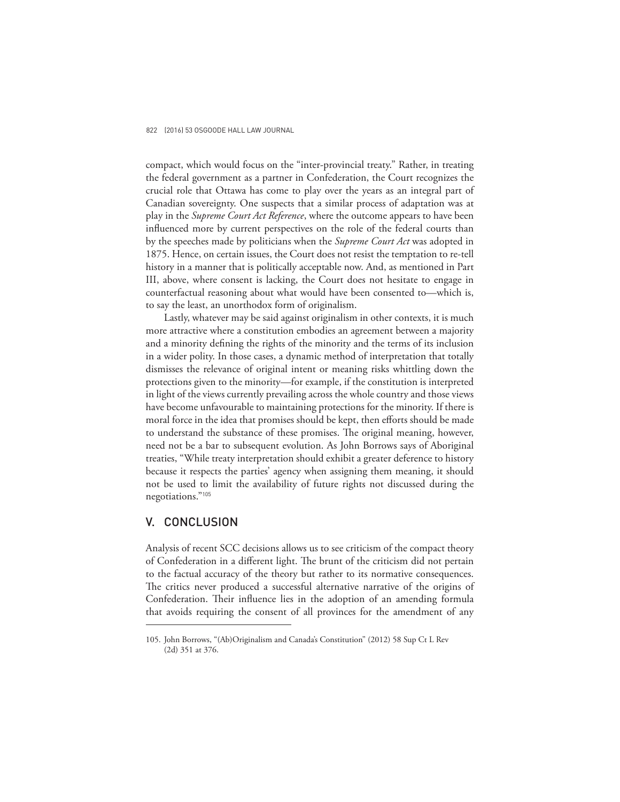compact, which would focus on the "inter-provincial treaty." Rather, in treating the federal government as a partner in Confederation, the Court recognizes the crucial role that Ottawa has come to play over the years as an integral part of Canadian sovereignty. One suspects that a similar process of adaptation was at play in the *Supreme Court Act Reference*, where the outcome appears to have been influenced more by current perspectives on the role of the federal courts than by the speeches made by politicians when the *Supreme Court Act* was adopted in 1875. Hence, on certain issues, the Court does not resist the temptation to re-tell history in a manner that is politically acceptable now. And, as mentioned in Part III, above, where consent is lacking, the Court does not hesitate to engage in counterfactual reasoning about what would have been consented to—which is, to say the least, an unorthodox form of originalism.

Lastly, whatever may be said against originalism in other contexts, it is much more attractive where a constitution embodies an agreement between a majority and a minority defining the rights of the minority and the terms of its inclusion in a wider polity. In those cases, a dynamic method of interpretation that totally dismisses the relevance of original intent or meaning risks whittling down the protections given to the minority—for example, if the constitution is interpreted in light of the views currently prevailing across the whole country and those views have become unfavourable to maintaining protections for the minority. If there is moral force in the idea that promises should be kept, then efforts should be made to understand the substance of these promises. The original meaning, however, need not be a bar to subsequent evolution. As John Borrows says of Aboriginal treaties, "While treaty interpretation should exhibit a greater deference to history because it respects the parties' agency when assigning them meaning, it should not be used to limit the availability of future rights not discussed during the negotiations."<sup>105</sup>

### V. CONCLUSION

Analysis of recent SCC decisions allows us to see criticism of the compact theory of Confederation in a different light. The brunt of the criticism did not pertain to the factual accuracy of the theory but rather to its normative consequences. The critics never produced a successful alternative narrative of the origins of Confederation. Their influence lies in the adoption of an amending formula that avoids requiring the consent of all provinces for the amendment of any

<sup>105.</sup> John Borrows, "(Ab)Originalism and Canada's Constitution" (2012) 58 Sup Ct L Rev (2d) 351 at 376.